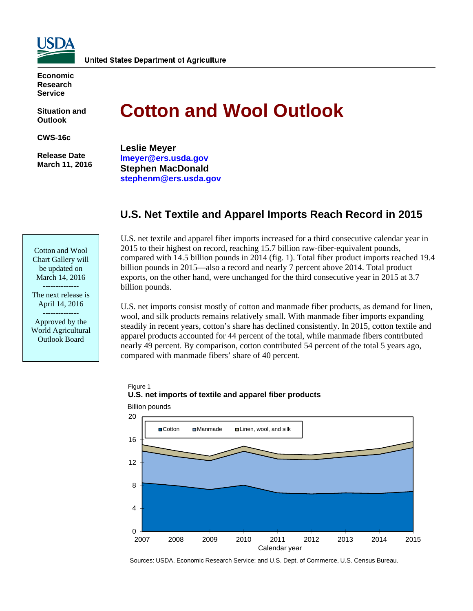

**Economic Research Service** 

**Situation and Outlook** 

**CWS-16c** 

 **Release Date March 11, 2016** 

Cotton and Wool Chart Gallery will be updated on March 14, 2016 -------------- The next release is April 14, 2016 -------------- Approved by the World Agricultural Outlook Board

# **Cotton and Wool Outlook**

**Leslie Meyer lmeyer@ers.usda.gov Stephen MacDonald stephenm@ers.usda.gov** 

# **U.S. Net Textile and Apparel Imports Reach Record in 2015**

U.S. net textile and apparel fiber imports increased for a third consecutive calendar year in 2015 to their highest on record, reaching 15.7 billion raw-fiber-equivalent pounds, compared with 14.5 billion pounds in 2014 (fig. 1). Total fiber product imports reached 19.4 billion pounds in 2015—also a record and nearly 7 percent above 2014. Total product exports, on the other hand, were unchanged for the third consecutive year in 2015 at 3.7 billion pounds.

U.S. net imports consist mostly of cotton and manmade fiber products, as demand for linen, wool, and silk products remains relatively small. With manmade fiber imports expanding steadily in recent years, cotton's share has declined consistently. In 2015, cotton textile and apparel products accounted for 44 percent of the total, while manmade fibers contributed nearly 49 percent. By comparison, cotton contributed 54 percent of the total 5 years ago, compared with manmade fibers' share of 40 percent.

# Figure 1 **U.S. net imports of textile and apparel fiber products**



Billion pounds

Sources: USDA, Economic Research Service; and U.S. Dept. of Commerce, U.S. Census Bureau.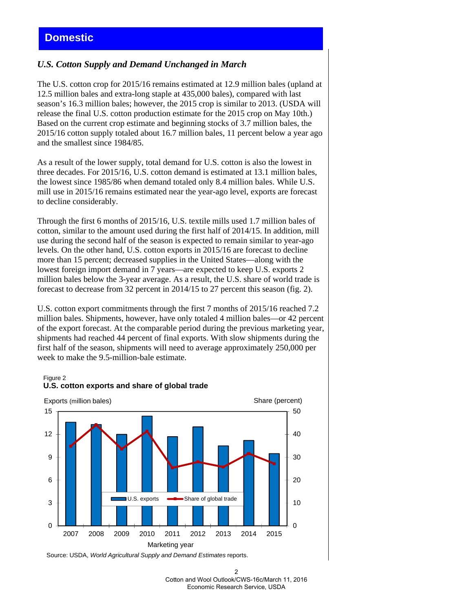# **Domestic**

### *U.S. Cotton Supply and Demand Unchanged in March*

The U.S. cotton crop for 2015/16 remains estimated at 12.9 million bales (upland at 12.5 million bales and extra-long staple at 435,000 bales), compared with last season's 16.3 million bales; however, the 2015 crop is similar to 2013. (USDA will release the final U.S. cotton production estimate for the 2015 crop on May 10th.) Based on the current crop estimate and beginning stocks of 3.7 million bales, the 2015/16 cotton supply totaled about 16.7 million bales, 11 percent below a year ago and the smallest since 1984/85.

As a result of the lower supply, total demand for U.S. cotton is also the lowest in three decades. For 2015/16, U.S. cotton demand is estimated at 13.1 million bales, the lowest since 1985/86 when demand totaled only 8.4 million bales. While U.S. mill use in 2015/16 remains estimated near the year-ago level, exports are forecast to decline considerably.

Through the first 6 months of 2015/16, U.S. textile mills used 1.7 million bales of cotton, similar to the amount used during the first half of 2014/15. In addition, mill use during the second half of the season is expected to remain similar to year-ago levels. On the other hand, U.S. cotton exports in 2015/16 are forecast to decline more than 15 percent; decreased supplies in the United States—along with the lowest foreign import demand in 7 years—are expected to keep U.S. exports 2 million bales below the 3-year average. As a result, the U.S. share of world trade is forecast to decrease from 32 percent in 2014/15 to 27 percent this season (fig. 2).

U.S. cotton export commitments through the first 7 months of 2015/16 reached 7.2 million bales. Shipments, however, have only totaled 4 million bales—or 42 percent of the export forecast. At the comparable period during the previous marketing year, shipments had reached 44 percent of final exports. With slow shipments during the first half of the season, shipments will need to average approximately 250,000 per week to make the 9.5-million-bale estimate.

#### Figure 2



**U.S. cotton exports and share of global trade**

Source: USDA, *World Agricultural Supply and Demand Estimates* reports.

<sup>2</sup>  Cotton and Wool Outlook/CWS-16c/March 11, 2016 Economic Research Service, USDA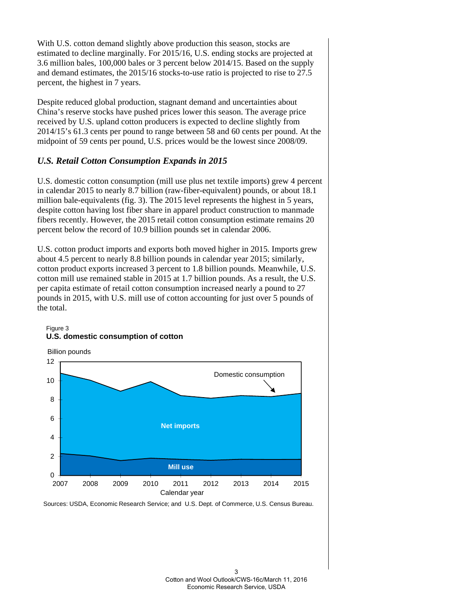With U.S. cotton demand slightly above production this season, stocks are estimated to decline marginally. For 2015/16, U.S. ending stocks are projected at 3.6 million bales, 100,000 bales or 3 percent below 2014/15. Based on the supply and demand estimates, the 2015/16 stocks-to-use ratio is projected to rise to 27.5 percent, the highest in 7 years.

Despite reduced global production, stagnant demand and uncertainties about China's reserve stocks have pushed prices lower this season. The average price received by U.S. upland cotton producers is expected to decline slightly from 2014/15's 61.3 cents per pound to range between 58 and 60 cents per pound. At the midpoint of 59 cents per pound, U.S. prices would be the lowest since 2008/09.

## *U.S. Retail Cotton Consumption Expands in 2015*

U.S. domestic cotton consumption (mill use plus net textile imports) grew 4 percent in calendar 2015 to nearly 8.7 billion (raw-fiber-equivalent) pounds, or about 18.1 million bale-equivalents (fig. 3). The 2015 level represents the highest in 5 years, despite cotton having lost fiber share in apparel product construction to manmade fibers recently. However, the 2015 retail cotton consumption estimate remains 20 percent below the record of 10.9 billion pounds set in calendar 2006.

U.S. cotton product imports and exports both moved higher in 2015. Imports grew about 4.5 percent to nearly 8.8 billion pounds in calendar year 2015; similarly, cotton product exports increased 3 percent to 1.8 billion pounds. Meanwhile, U.S. cotton mill use remained stable in 2015 at 1.7 billion pounds. As a result, the U.S. per capita estimate of retail cotton consumption increased nearly a pound to 27 pounds in 2015, with U.S. mill use of cotton accounting for just over 5 pounds of the total.





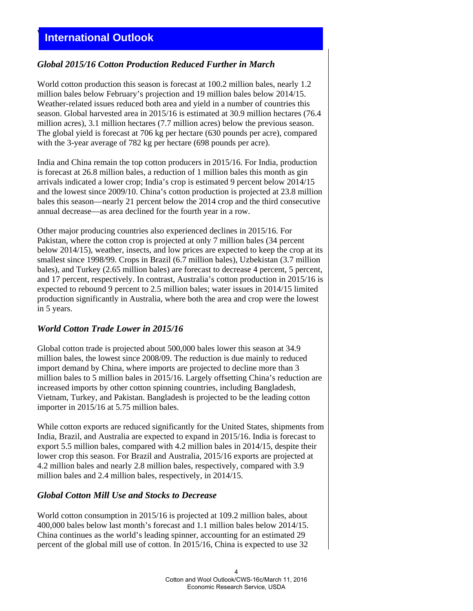# **International Outlook**

# *Global 2015/16 Cotton Production Reduced Further in March*

World cotton production this season is forecast at 100.2 million bales, nearly 1.2 million bales below February's projection and 19 million bales below 2014/15. Weather-related issues reduced both area and yield in a number of countries this season. Global harvested area in 2015/16 is estimated at 30.9 million hectares (76.4 million acres), 3.1 million hectares (7.7 million acres) below the previous season. The global yield is forecast at 706 kg per hectare (630 pounds per acre), compared with the 3-year average of 782 kg per hectare (698 pounds per acre).

India and China remain the top cotton producers in 2015/16. For India, production is forecast at 26.8 million bales, a reduction of 1 million bales this month as gin arrivals indicated a lower crop; India's crop is estimated 9 percent below 2014/15 and the lowest since 2009/10. China's cotton production is projected at 23.8 million bales this season—nearly 21 percent below the 2014 crop and the third consecutive annual decrease—as area declined for the fourth year in a row.

Other major producing countries also experienced declines in 2015/16. For Pakistan, where the cotton crop is projected at only 7 million bales (34 percent below 2014/15), weather, insects, and low prices are expected to keep the crop at its smallest since 1998/99. Crops in Brazil (6.7 million bales), Uzbekistan (3.7 million bales), and Turkey (2.65 million bales) are forecast to decrease 4 percent, 5 percent, and 17 percent, respectively. In contrast, Australia's cotton production in 2015/16 is expected to rebound 9 percent to 2.5 million bales; water issues in 2014/15 limited production significantly in Australia, where both the area and crop were the lowest in 5 years.

## *World Cotton Trade Lower in 2015/16*

Global cotton trade is projected about 500,000 bales lower this season at 34.9 million bales, the lowest since 2008/09. The reduction is due mainly to reduced import demand by China, where imports are projected to decline more than 3 million bales to 5 million bales in 2015/16. Largely offsetting China's reduction are increased imports by other cotton spinning countries, including Bangladesh, Vietnam, Turkey, and Pakistan. Bangladesh is projected to be the leading cotton importer in 2015/16 at 5.75 million bales.

While cotton exports are reduced significantly for the United States, shipments from India, Brazil, and Australia are expected to expand in 2015/16. India is forecast to export 5.5 million bales, compared with 4.2 million bales in 2014/15, despite their lower crop this season. For Brazil and Australia, 2015/16 exports are projected at 4.2 million bales and nearly 2.8 million bales, respectively, compared with 3.9 million bales and 2.4 million bales, respectively, in 2014/15.

## *Global Cotton Mill Use and Stocks to Decrease*

World cotton consumption in 2015/16 is projected at 109.2 million bales, about 400,000 bales below last month's forecast and 1.1 million bales below 2014/15. China continues as the world's leading spinner, accounting for an estimated 29 percent of the global mill use of cotton. In 2015/16, China is expected to use 32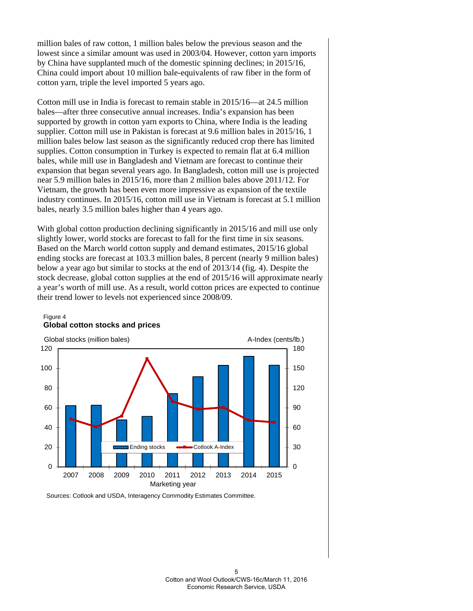million bales of raw cotton, 1 million bales below the previous season and the lowest since a similar amount was used in 2003/04. However, cotton yarn imports by China have supplanted much of the domestic spinning declines; in 2015/16, China could import about 10 million bale-equivalents of raw fiber in the form of cotton yarn, triple the level imported 5 years ago.

Cotton mill use in India is forecast to remain stable in 2015/16—at 24.5 million bales—after three consecutive annual increases. India's expansion has been supported by growth in cotton yarn exports to China, where India is the leading supplier. Cotton mill use in Pakistan is forecast at 9.6 million bales in 2015/16, 1 million bales below last season as the significantly reduced crop there has limited supplies. Cotton consumption in Turkey is expected to remain flat at 6.4 million bales, while mill use in Bangladesh and Vietnam are forecast to continue their expansion that began several years ago. In Bangladesh, cotton mill use is projected near 5.9 million bales in 2015/16, more than 2 million bales above 2011/12. For Vietnam, the growth has been even more impressive as expansion of the textile industry continues. In 2015/16, cotton mill use in Vietnam is forecast at 5.1 million bales, nearly 3.5 million bales higher than 4 years ago.

With global cotton production declining significantly in 2015/16 and mill use only slightly lower, world stocks are forecast to fall for the first time in six seasons. Based on the March world cotton supply and demand estimates, 2015/16 global ending stocks are forecast at 103.3 million bales, 8 percent (nearly 9 million bales) below a year ago but similar to stocks at the end of 2013/14 (fig. 4). Despite the stock decrease, global cotton supplies at the end of 2015/16 will approximate nearly a year's worth of mill use. As a result, world cotton prices are expected to continue their trend lower to levels not experienced since 2008/09.



#### Figure 4 **Global cotton stocks and prices**

Sources: Cotlook and USDA, Interagency Commodity Estimates Committee.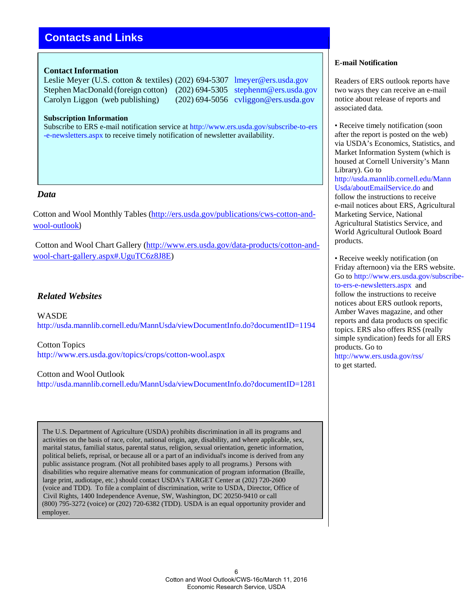# **Contacts and Links**

#### **Contact Information**

Leslie Meyer (U.S. cotton & textiles) (202) 694-5307 lmeyer@ers.usda.gov Stephen MacDonald (foreign cotton) (202) 694-5305 stephenm@ers.usda.gov Carolyn Liggon (web publishing) (202) 694-5056 cvliggon@ers.usda.gov

#### **Subscription Information**

Subscribe to ERS e-mail notification service at http://www.ers.usda.gov/subscribe-to-ers -e-newsletters.aspx to receive timely notification of newsletter availability.

#### *Data*

Cotton and Wool Monthly Tables (http://ers.usda.gov/publications/cws-cotton-andwool-outlook)

Cotton and Wool Chart Gallery (http://www.ers.usda.gov/data-products/cotton-andwool-chart-gallery.aspx#.UguTC6z8J8E)

### *Related Websites*

WASDE http://usda.mannlib.cornell.edu/MannUsda/viewDocumentInfo.do?documentID=1194

Cotton Topics http://www.ers.usda.gov/topics/crops/cotton-wool.aspx

Cotton and Wool Outlook

http://usda.mannlib.cornell.edu/MannUsda/viewDocumentInfo.do?documentID=1281

The U.S. Department of Agriculture (USDA) prohibits discrimination in all its programs and activities on the basis of race, color, national origin, age, disability, and where applicable, sex, marital status, familial status, parental status, religion, sexual orientation, genetic information, political beliefs, reprisal, or because all or a part of an individual's income is derived from any public assistance program. (Not all prohibited bases apply to all programs.) Persons with disabilities who require alternative means for communication of program information (Braille, large print, audiotape, etc.) should contact USDA's TARGET Center at (202) 720-2600 (voice and TDD). To file a complaint of discrimination, write to USDA, Director, Office of Civil Rights, 1400 Independence Avenue, SW, Washington, DC 20250-9410 or call (800) 795-3272 (voice) or (202) 720-6382 (TDD). USDA is an equal opportunity provider and employer.

#### **E-mail Notification**

Readers of ERS outlook reports have two ways they can receive an e-mail notice about release of reports and associated data.

• Receive timely notification (soon after the report is posted on the web) via USDA's Economics, Statistics, and Market Information System (which is housed at Cornell University's Mann Library). Go to http://usda.mannlib.cornell.edu/Mann Usda/aboutEmailService.do and follow the instructions to receive e-mail notices about ERS, Agricultural Marketing Service, National Agricultural Statistics Service, and World Agricultural Outlook Board products.

• Receive weekly notification (on Friday afternoon) via the ERS website. Go to http://www.ers.usda.gov/subscribeto-ers-e-newsletters.aspx and follow the instructions to receive notices about ERS outlook reports, Amber Waves magazine, and other reports and data products on specific topics. ERS also offers RSS (really simple syndication) feeds for all ERS products. Go to http://www.ers.usda.gov/rss/ to get started.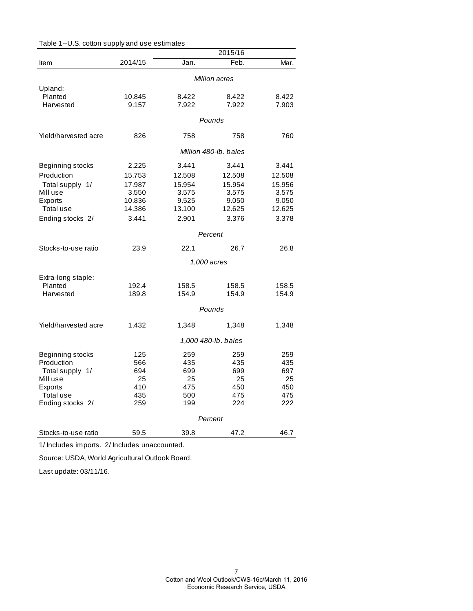|                                | 2015/16       |            |                       |            |  |
|--------------------------------|---------------|------------|-----------------------|------------|--|
| Item                           | 2014/15       | Jan.       | Feb.                  | Mar.       |  |
|                                | Million acres |            |                       |            |  |
| Upland:                        |               |            |                       |            |  |
| Planted                        | 10.845        | 8.422      | 8.422                 | 8.422      |  |
| Harvested                      | 9.157         | 7.922      | 7.922                 | 7.903      |  |
|                                |               |            | Pounds                |            |  |
| Yield/harvested acre           | 826           | 758        | 758                   | 760        |  |
|                                |               |            | Million 480-lb, bales |            |  |
| Beginning stocks               | 2.225         | 3.441      | 3.441                 | 3.441      |  |
| Production                     | 15.753        | 12.508     | 12.508                | 12.508     |  |
| Total supply 1/                | 17.987        | 15.954     | 15.954                | 15.956     |  |
| Mill use                       | 3.550         | 3.575      | 3.575                 | 3.575      |  |
| Exports                        | 10.836        | 9.525      | 9.050                 | 9.050      |  |
| Total use                      | 14.386        | 13.100     | 12.625                | 12.625     |  |
| Ending stocks 2/               | 3.441         | 2.901      | 3.376                 | 3.378      |  |
|                                |               |            | Percent               |            |  |
| Stocks-to-use ratio            | 23.9          | 22.1       | 26.7                  | 26.8       |  |
|                                |               |            | 1,000 acres           |            |  |
| Extra-long staple:             |               |            |                       |            |  |
| Planted                        | 192.4         | 158.5      | 158.5                 | 158.5      |  |
| Harvested                      | 189.8         | 154.9      | 154.9                 | 154.9      |  |
|                                |               |            | Pounds                |            |  |
| Yield/harvested acre           | 1,432         | 1,348      | 1,348                 | 1,348      |  |
|                                |               |            | 1,000 480-lb. bales   |            |  |
|                                |               |            |                       |            |  |
| Beginning stocks<br>Production | 125           | 259        | 259                   | 259        |  |
| Total supply 1/                | 566<br>694    | 435<br>699 | 435<br>699            | 435<br>697 |  |
| Mill use                       | 25            | 25         | 25                    | 25         |  |
| Exports                        | 410           | 475        | 450                   | 450        |  |
| Total use                      | 435           | 500        | 475                   | 475        |  |
| Ending stocks 2/               | 259           | 199        | 224                   | 222        |  |
|                                |               |            | Percent               |            |  |
| Stocks-to-use ratio            | 59.5          | 39.8       | 47.2                  | 46.7       |  |

Table 1--U.S. cotton supply and use estimates

1/ Includes imports. 2/ Includes unaccounted.

Source: USDA, World Agricultural Outlook Board.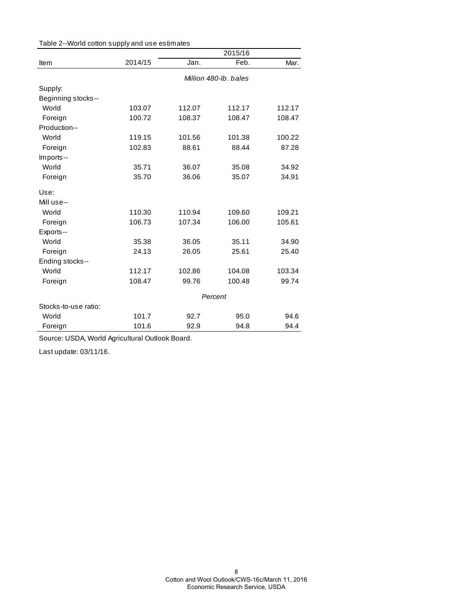| Table 2--World cotton supply and use estimates |  |  |
|------------------------------------------------|--|--|
|------------------------------------------------|--|--|

|                      |                       |        | 2015/16 |        |
|----------------------|-----------------------|--------|---------|--------|
| Item                 | 2014/15               | Jan.   | Feb.    | Mar.   |
|                      | Million 480-lb, bales |        |         |        |
| Supply:              |                       |        |         |        |
| Beginning stocks--   |                       |        |         |        |
| World                | 103.07                | 112.07 | 112.17  | 112.17 |
| Foreign              | 100.72                | 108.37 | 108.47  | 108.47 |
| Production--         |                       |        |         |        |
| World                | 119.15                | 101.56 | 101.38  | 100.22 |
| Foreign              | 102.83                | 88.61  | 88.44   | 87.28  |
| Imports--            |                       |        |         |        |
| World                | 35.71                 | 36.07  | 35.08   | 34.92  |
| Foreign              | 35.70                 | 36.06  | 35.07   | 34.91  |
| Use:                 |                       |        |         |        |
| Mill use--           |                       |        |         |        |
| World                | 110.30                | 110.94 | 109.60  | 109.21 |
| Foreign              | 106.73                | 107.34 | 106.00  | 105.61 |
| Exports--            |                       |        |         |        |
| World                | 35.38                 | 36.05  | 35.11   | 34.90  |
| Foreign              | 24.13                 | 26.05  | 25.61   | 25.40  |
| Ending stocks--      |                       |        |         |        |
| World                | 112.17                | 102.86 | 104.08  | 103.34 |
| Foreign              | 108.47                | 99.76  | 100.48  | 99.74  |
|                      | Percent               |        |         |        |
| Stocks-to-use ratio: |                       |        |         |        |
| World                | 101.7                 | 92.7   | 95.0    | 94.6   |
| Foreign              | 101.6                 | 92.9   | 94.8    | 94.4   |

Source: USDA, World Agricultural Outlook Board.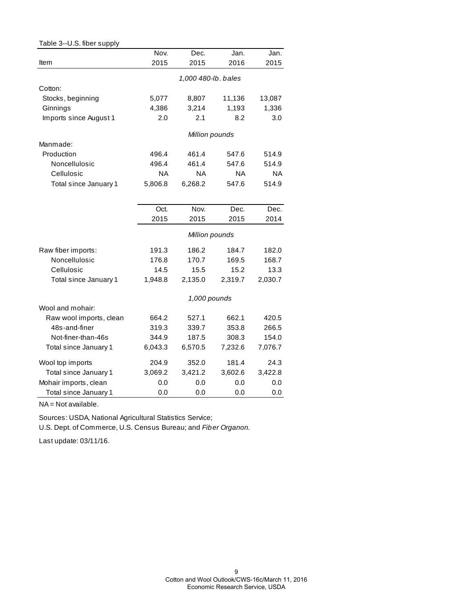| Table 3--U.S. fiber supply |         |                     |         |           |
|----------------------------|---------|---------------------|---------|-----------|
|                            | Nov.    | Dec.                | Jan.    | Jan.      |
| Item                       | 2015    | 2015                | 2016    | 2015      |
|                            |         | 1,000 480-lb. bales |         |           |
| Cotton:                    |         |                     |         |           |
| Stocks, beginning          | 5,077   | 8,807               | 11,136  | 13,087    |
| Ginnings                   | 4,386   | 3,214               | 1,193   | 1,336     |
| Imports since August 1     | 2.0     | 2.1                 | 8.2     | 3.0       |
|                            |         | Million pounds      |         |           |
| Manmade:                   |         |                     |         |           |
| Production                 | 496.4   | 461.4               | 547.6   | 514.9     |
| Noncellulosic              | 496.4   | 461.4               | 547.6   | 514.9     |
| Cellulosic                 | NA      | <b>NA</b>           | ΝA      | <b>NA</b> |
| Total since January 1      | 5,806.8 | 6,268.2             | 547.6   | 514.9     |
|                            |         |                     |         |           |
|                            | Oct.    | Nov.                | Dec.    | Dec.      |
|                            | 2015    | 2015                | 2015    | 2014      |
|                            |         | Million pounds      |         |           |
| Raw fiber imports:         | 191.3   | 186.2               | 184.7   | 182.0     |
| Noncellulosic              | 176.8   | 170.7               | 169.5   | 168.7     |
| Cellulosic                 | 14.5    | 15.5                | 15.2    | 13.3      |
| Total since January 1      | 1,948.8 | 2,135.0             | 2,319.7 | 2,030.7   |
|                            |         | 1,000 pounds        |         |           |
| Wool and mohair:           |         |                     |         |           |
| Raw wool imports, clean    | 664.2   | 527.1               | 662.1   | 420.5     |
| 48s-and-finer              | 319.3   | 339.7               | 353.8   | 266.5     |
| Not-finer-than-46s         | 344.9   | 187.5               | 308.3   | 154.0     |
| Total since January 1      | 6,043.3 | 6,570.5             | 7,232.6 | 7,076.7   |
| Wool top imports           | 204.9   | 352.0               | 181.4   | 24.3      |
| Total since January 1      | 3,069.2 | 3,421.2             | 3,602.6 | 3,422.8   |
| Mohair imports, clean      | 0.0     | 0.0                 | 0.0     | 0.0       |
| Total since January 1      | 0.0     | 0.0                 | 0.0     | 0.0       |

NA = Not available.

Sources: USDA, National Agricultural Statistics Service;

U.S. Dept. of Commerce, U.S. Census Bureau; and *Fiber Organon.*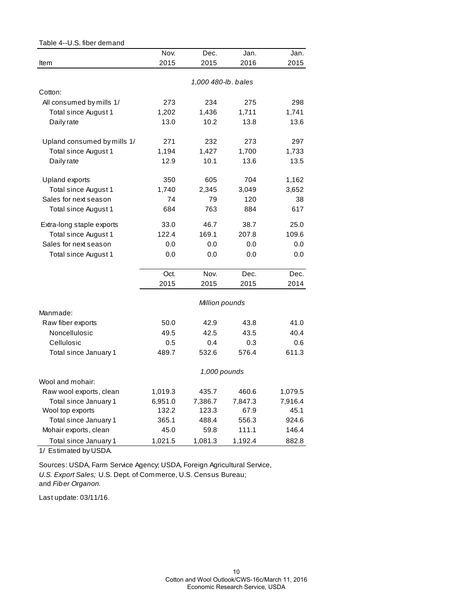| Table 4--U.S. fiber demand                       |               |                     |         |         |
|--------------------------------------------------|---------------|---------------------|---------|---------|
|                                                  | Nov.          | Dec.                | Jan.    | Jan.    |
| Item                                             | 2015          | 2015                | 2016    | 2015    |
|                                                  |               | 1,000 480-lb. bales |         |         |
| Cotton:                                          |               |                     |         |         |
|                                                  | 273           | 234                 | 275     | 298     |
| All consumed by mills 1/<br>Total since August 1 |               |                     | 1,711   | 1,741   |
|                                                  | 1,202<br>13.0 | 1,436<br>10.2       | 13.8    | 13.6    |
| Daily rate                                       |               |                     |         |         |
| Upland consumed by mills 1/                      | 271           | 232                 | 273     | 297     |
| Total since August 1                             | 1,194         | 1,427               | 1,700   | 1,733   |
| Daily rate                                       | 12.9          | 10.1                | 13.6    | 13.5    |
| Upland exports                                   | 350           | 605                 | 704     | 1,162   |
| Total since August 1                             | 1,740         | 2,345               | 3,049   | 3,652   |
| Sales for next season                            | 74            | 79                  | 120     | 38      |
| Total since August 1                             | 684           | 763                 | 884     | 617     |
| Extra-long staple exports                        | 33.0          | 46.7                | 38.7    | 25.0    |
| Total since August 1                             | 122.4         | 169.1               | 207.8   | 109.6   |
| Sales for next season                            | 0.0           | 0.0                 | 0.0     | 0.0     |
| Total since August 1                             | 0.0           | 0.0                 | 0.0     | 0.0     |
|                                                  | Oct.          | Nov.                | Dec.    | Dec.    |
|                                                  | 2015          | 2015                | 2015    | 2014    |
|                                                  |               | Million pounds      |         |         |
| Manmade:                                         |               |                     |         |         |
| Raw fiber exports                                | 50.0          | 42.9                | 43.8    | 41.0    |
| Noncellulosic                                    | 49.5          | 42.5                | 43.5    | 40.4    |
| Cellulosic                                       | 0.5           | 0.4                 | 0.3     | 0.6     |
| Total since January 1                            | 489.7         | 532.6               | 576.4   | 611.3   |
|                                                  |               | 1,000 pounds        |         |         |
| Wool and mohair:                                 |               |                     |         |         |
| Raw wool exports, clean                          | 1,019.3       | 435.7               | 460.6   | 1,079.5 |
| Total since January 1                            | 6,951.0       | 7,386.7             | 7,847.3 | 7,916.4 |
| Wool top exports                                 | 132.2         | 123.3               | 67.9    | 45.1    |
| Total since January 1                            | 365.1         | 488.4               | 556.3   | 924.6   |
| Mohair exports, clean                            | 45.0          | 59.8                | 111.1   | 146.4   |
| Total since January 1                            | 1,021.5       | 1,081.3             | 1,192.4 | 882.8   |

1/ Estimated by USDA.

Sources: USDA, Farm Service Agency; USDA, Foreign Agricultural Service, *U.S. Export Sales;* U.S. Dept. of Commerce, U.S. Census Bureau; and *Fiber Organon.*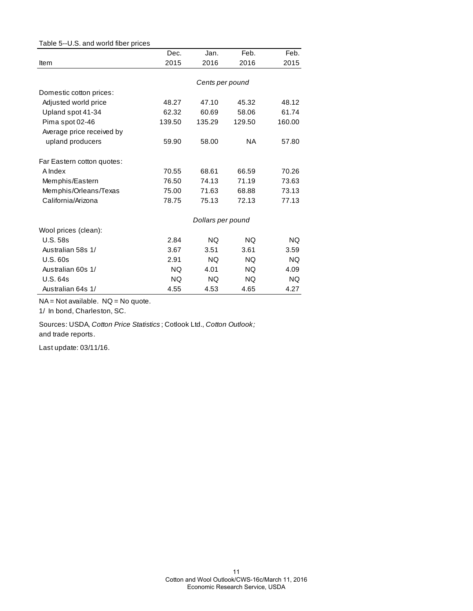| Table 5--U.S. and world fiber prices |        |                   |           |        |
|--------------------------------------|--------|-------------------|-----------|--------|
|                                      | Dec.   | Jan.              | Feb.      | Feb.   |
| Item                                 | 2015   | 2016              | 2016      | 2015   |
|                                      |        | Cents per pound   |           |        |
| Domestic cotton prices:              |        |                   |           |        |
| Adjusted world price                 | 48.27  | 47.10             | 45.32     | 48.12  |
| Upland spot 41-34                    | 62.32  | 60.69             | 58.06     | 61.74  |
| Pima spot 02-46                      | 139.50 | 135.29            | 129.50    | 160.00 |
| Average price received by            |        |                   |           |        |
| upland producers                     | 59.90  | 58.00             | <b>NA</b> | 57.80  |
| Far Eastern cotton quotes:           |        |                   |           |        |
| A Index                              | 70.55  | 68.61             | 66.59     | 70.26  |
| Memphis/Eastern                      | 76.50  | 74.13             | 71.19     | 73.63  |
| Memphis/Orleans/Texas                | 75.00  | 71.63             | 68.88     | 73.13  |
| California/Arizona                   | 78.75  | 75.13             | 72.13     | 77.13  |
|                                      |        | Dollars per pound |           |        |
| Wool prices (clean):                 |        |                   |           |        |
| <b>U.S. 58s</b>                      | 2.84   | <b>NQ</b>         | <b>NQ</b> | NQ.    |
| Australian 58s 1/                    | 3.67   | 3.51              | 3.61      | 3.59   |
| U.S.60s                              | 2.91   | NQ.               | NQ.       | NQ.    |
| Australian 60s 1/                    | NQ.    | 4.01              | NQ.       | 4.09   |
| U.S. 64s                             | NQ.    | NQ.               | NQ.       | NQ.    |
| Australian 64s 1/                    | 4.55   | 4.53              | 4.65      | 4.27   |

NA = Not available. NQ = No quote.

1/ In bond, Charleston, SC.

Sources: USDA, *Cotton Price Statistics* ; Cotlook Ltd., *Cotton Outlook;*  and trade reports.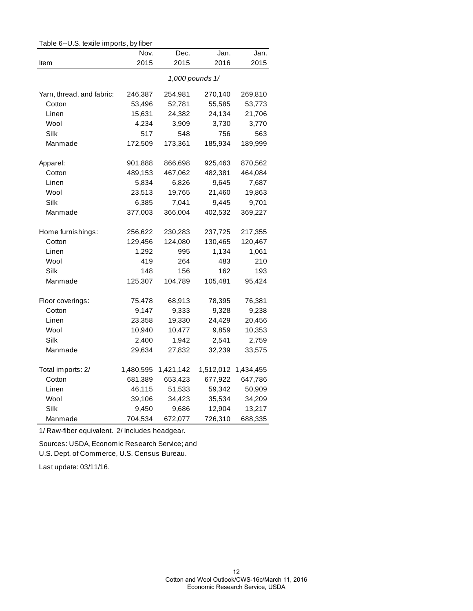| Table 6--U.S. textile imports, by fiber |           |           |                 |           |  |
|-----------------------------------------|-----------|-----------|-----------------|-----------|--|
|                                         | Nov.      | Dec.      | Jan.            | Jan.      |  |
| Item                                    | 2015      | 2015      | 2016            | 2015      |  |
|                                         |           |           | 1,000 pounds 1/ |           |  |
| Yarn, thread, and fabric:               | 246,387   | 254,981   | 270,140         | 269,810   |  |
| Cotton                                  | 53,496    | 52,781    | 55,585          | 53,773    |  |
| Linen                                   | 15,631    | 24,382    | 24,134          | 21,706    |  |
| Wool                                    | 4,234     | 3,909     | 3,730           | 3,770     |  |
| Silk                                    | 517       | 548       | 756             | 563       |  |
| Manmade                                 | 172,509   | 173,361   | 185,934         | 189,999   |  |
| Apparel:                                | 901,888   | 866,698   | 925,463         | 870,562   |  |
| Cotton                                  | 489,153   | 467,062   | 482,381         | 464,084   |  |
| Linen                                   | 5,834     | 6,826     | 9,645           | 7,687     |  |
| Wool                                    | 23,513    | 19,765    | 21,460          | 19,863    |  |
| Silk                                    | 6,385     | 7,041     | 9,445           | 9,701     |  |
| Manmade                                 | 377,003   | 366,004   | 402,532         | 369,227   |  |
| Home furnishings:                       | 256,622   | 230,283   | 237,725         | 217,355   |  |
| Cotton                                  | 129,456   | 124,080   | 130,465         | 120,467   |  |
| Linen                                   | 1,292     | 995       | 1,134           | 1,061     |  |
| Wool                                    | 419       | 264       | 483             | 210       |  |
| Silk                                    | 148       | 156       | 162             | 193       |  |
| Manmade                                 | 125,307   | 104,789   | 105,481         | 95,424    |  |
| Floor coverings:                        | 75,478    | 68,913    | 78,395          | 76,381    |  |
| Cotton                                  | 9,147     | 9,333     | 9,328           | 9,238     |  |
| Linen                                   | 23,358    | 19,330    | 24,429          | 20,456    |  |
| Wool                                    | 10,940    | 10,477    | 9,859           | 10,353    |  |
| Silk                                    | 2,400     | 1,942     | 2,541           | 2,759     |  |
| Manmade                                 | 29,634    | 27,832    | 32,239          | 33,575    |  |
| Total imports: 2/                       | 1,480,595 | 1,421,142 | 1,512,012       | 1,434,455 |  |
| Cotton                                  | 681,389   | 653,423   | 677,922         | 647,786   |  |
| Linen                                   | 46,115    | 51,533    | 59,342          | 50,909    |  |
| Wool                                    | 39,106    | 34,423    | 35,534          | 34,209    |  |
| Silk                                    | 9,450     | 9,686     | 12,904          | 13,217    |  |
| Manmade                                 | 704,534   | 672,077   | 726,310         | 688,335   |  |

1/ Raw-fiber equivalent. 2/ Includes headgear.

Sources: USDA, Economic Research Service; and

U.S. Dept. of Commerce, U.S. Census Bureau.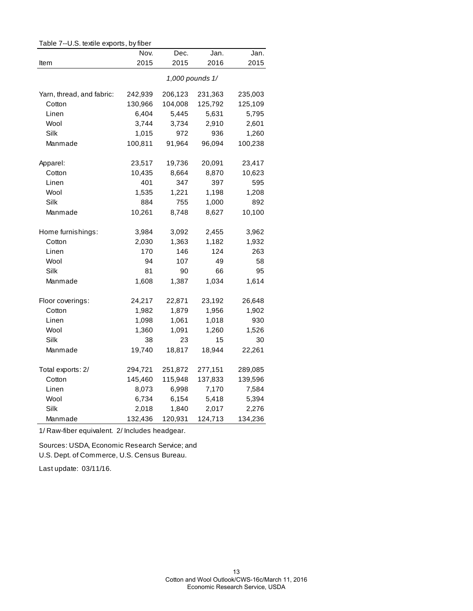| rable $r$ --0.5. lexule exports, by liber |         |         |                 |         |
|-------------------------------------------|---------|---------|-----------------|---------|
|                                           | Nov.    | Dec.    | Jan.            | Jan.    |
| Item                                      | 2015    | 2015    | 2016            | 2015    |
|                                           |         |         | 1,000 pounds 1/ |         |
| Yarn, thread, and fabric:                 | 242,939 | 206,123 | 231,363         | 235,003 |
| Cotton                                    | 130,966 | 104,008 | 125,792         | 125,109 |
| Linen                                     | 6,404   | 5,445   | 5,631           | 5,795   |
| Wool                                      | 3,744   | 3,734   | 2,910           | 2,601   |
| Silk                                      | 1,015   | 972     | 936             | 1,260   |
| Manmade                                   | 100,811 | 91,964  | 96,094          | 100,238 |
| Apparel:                                  | 23,517  | 19,736  | 20,091          | 23,417  |
| Cotton                                    | 10,435  | 8,664   | 8,870           | 10,623  |
| Linen                                     | 401     | 347     | 397             | 595     |
| Wool                                      | 1,535   | 1,221   | 1,198           | 1,208   |
| Silk                                      | 884     | 755     | 1,000           | 892     |
| Manmade                                   | 10,261  | 8,748   | 8,627           | 10,100  |
| Home furnishings:                         | 3,984   | 3,092   | 2,455           | 3,962   |
| Cotton                                    | 2,030   | 1,363   | 1,182           | 1,932   |
| Linen                                     | 170     | 146     | 124             | 263     |
| Wool                                      | 94      | 107     | 49              | 58      |
| Silk                                      | 81      | 90      | 66              | 95      |
| Manmade                                   | 1,608   | 1,387   | 1,034           | 1,614   |
| Floor coverings:                          | 24,217  | 22,871  | 23,192          | 26,648  |
| Cotton                                    | 1,982   | 1,879   | 1,956           | 1,902   |
| Linen                                     | 1,098   | 1,061   | 1,018           | 930     |
| Wool                                      | 1,360   | 1,091   | 1,260           | 1,526   |
| Silk                                      | 38      | 23      | 15              | 30      |
| Manmade                                   | 19,740  | 18,817  | 18,944          | 22,261  |
| Total exports: 2/                         | 294,721 | 251,872 | 277,151         | 289,085 |
| Cotton                                    | 145,460 | 115,948 | 137,833         | 139,596 |
| Linen                                     | 8,073   | 6,998   | 7,170           | 7,584   |
| Wool                                      | 6,734   | 6,154   | 5,418           | 5,394   |
| Silk                                      | 2,018   | 1,840   | 2,017           | 2,276   |
| Manmade                                   | 132,436 | 120,931 | 124,713         | 134,236 |

 $Table 7-UC$  to this exports, by fiber

1/ Raw-fiber equivalent. 2/ Includes headgear.

Sources: USDA, Economic Research Service; and U.S. Dept. of Commerce, U.S. Census Bureau.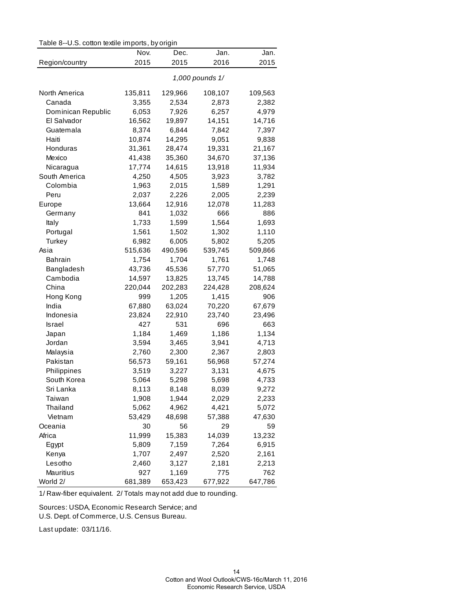| Table 8--U.S. cotton textile imports, by origin |  |  |  |  |  |
|-------------------------------------------------|--|--|--|--|--|
|-------------------------------------------------|--|--|--|--|--|

|                    | Nov.    | Dec.    | Jan.            | Jan.    |
|--------------------|---------|---------|-----------------|---------|
| Region/country     | 2015    | 2015    | 2016            | 2015    |
|                    |         |         | 1,000 pounds 1/ |         |
| North America      | 135,811 | 129,966 | 108,107         | 109,563 |
| Canada             | 3,355   | 2,534   | 2,873           | 2,382   |
| Dominican Republic | 6,053   | 7,926   | 6,257           | 4,979   |
| El Salvador        | 16,562  | 19,897  | 14,151          | 14,716  |
| Guatemala          | 8,374   | 6,844   | 7,842           | 7,397   |
| Haiti              | 10,874  | 14,295  | 9,051           | 9,838   |
| Honduras           | 31,361  | 28,474  | 19,331          | 21,167  |
| Mexico             | 41,438  | 35,360  | 34,670          | 37,136  |
| Nicaragua          | 17,774  | 14,615  | 13,918          | 11,934  |
| South America      | 4,250   | 4,505   | 3,923           | 3,782   |
| Colombia           | 1,963   | 2,015   | 1,589           | 1,291   |
| Peru               | 2,037   | 2,226   | 2,005           | 2,239   |
| Europe             | 13,664  | 12,916  | 12,078          | 11,283  |
| Germany            | 841     | 1,032   | 666             | 886     |
| Italy              | 1,733   | 1,599   | 1,564           | 1,693   |
| Portugal           | 1,561   | 1,502   | 1,302           | 1,110   |
| Turkey             | 6,982   | 6,005   | 5,802           | 5,205   |
| Asia               | 515,636 | 490,596 | 539,745         | 509,866 |
| <b>Bahrain</b>     | 1,754   | 1,704   | 1,761           | 1,748   |
| Bangladesh         | 43,736  | 45,536  | 57,770          | 51,065  |
| Cambodia           | 14,597  | 13,825  | 13,745          | 14,788  |
| China              | 220,044 | 202,283 | 224,428         | 208,624 |
| Hong Kong          | 999     | 1,205   | 1,415           | 906     |
| India              | 67,880  | 63,024  | 70,220          | 67,679  |
| Indonesia          | 23,824  | 22,910  | 23,740          | 23,496  |
| Israel             | 427     | 531     | 696             | 663     |
| Japan              | 1,184   | 1,469   | 1,186           | 1,134   |
| Jordan             | 3,594   | 3,465   | 3,941           | 4,713   |
| Malaysia           | 2,760   | 2,300   | 2,367           | 2,803   |
| Pakistan           | 56,573  | 59,161  | 56,968          | 57,274  |
| Philippines        | 3,519   | 3,227   | 3,131           | 4,675   |
| South Korea        | 5,064   | 5,298   | 5,698           | 4,733   |
| Sri Lanka          | 8,113   | 8,148   | 8,039           | 9,272   |
| Taiwan             | 1,908   | 1,944   | 2,029           | 2,233   |
| Thailand           | 5,062   | 4,962   | 4,421           | 5,072   |
| Vietnam            | 53,429  | 48,698  | 57,388          | 47,630  |
| Oceania            | 30      | 56      | 29              | 59      |
| Africa             | 11,999  | 15,383  | 14,039          | 13,232  |
| Egypt              | 5,809   | 7,159   | 7,264           | 6,915   |
| Kenya              | 1,707   | 2,497   | 2,520           | 2,161   |
| Lesotho            | 2,460   | 3,127   | 2,181           | 2,213   |
| Mauritius          | 927     | 1,169   | 775             | 762     |
| World 2/           | 681,389 | 653,423 | 677,922         | 647,786 |

Sources: USDA, Economic Research Service; and

U.S. Dept. of Commerce, U.S. Census Bureau.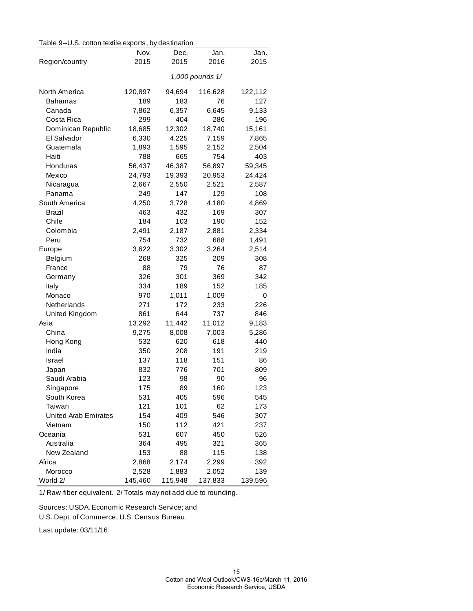|  |  | Table 9--U.S. cotton textile exports, by destination |
|--|--|------------------------------------------------------|
|--|--|------------------------------------------------------|

|                             | Nov.    | Dec.    | Jan.            | Jan.    |
|-----------------------------|---------|---------|-----------------|---------|
| Region/country              | 2015    | 2015    | 2016            | 2015    |
|                             |         |         | 1,000 pounds 1/ |         |
| North America               | 120,897 | 94,694  | 116,628         | 122,112 |
| <b>Bahamas</b>              | 189     | 183     | 76              | 127     |
| Canada                      | 7,862   | 6,357   | 6,645           | 9,133   |
| Costa Rica                  | 299     | 404     | 286             | 196     |
| Dominican Republic          | 18,685  | 12,302  | 18,740          | 15,161  |
| El Salvador                 | 6,330   | 4,225   | 7,159           | 7,865   |
| Guatemala                   | 1,893   | 1,595   | 2,152           | 2,504   |
| Haiti                       | 788     | 665     | 754             | 403     |
| Honduras                    | 56,437  | 46,387  | 56,897          | 59,345  |
| Mexico                      | 24,793  | 19,393  | 20,953          | 24,424  |
| Nicaragua                   | 2,667   | 2,550   | 2,521           | 2,587   |
| Panama                      | 249     | 147     | 129             | 108     |
| South America               | 4,250   | 3,728   | 4,180           | 4,869   |
| Brazil                      | 463     | 432     | 169             | 307     |
| Chile                       | 184     | 103     | 190             | 152     |
| Colombia                    | 2,491   | 2,187   | 2,881           | 2,334   |
| Peru                        | 754     | 732     | 688             | 1,491   |
| Europe                      | 3,622   | 3,302   | 3,264           | 2,514   |
| Belgium                     | 268     | 325     | 209             | 308     |
| France                      | 88      | 79      | 76              | 87      |
| Germany                     | 326     | 301     | 369             | 342     |
| Italy                       | 334     | 189     | 152             | 185     |
| Monaco                      | 970     | 1,011   | 1,009           | 0       |
| Netherlands                 | 271     | 172     | 233             | 226     |
| United Kingdom              | 861     | 644     | 737             | 846     |
| Asia                        | 13,292  | 11,442  | 11,012          | 9,183   |
| China                       | 9,275   | 8,008   | 7,003           | 5,286   |
| Hong Kong                   | 532     | 620     | 618             | 440     |
| India                       | 350     | 208     | 191             | 219     |
| Israel                      | 137     | 118     | 151             | 86      |
| Japan                       | 832     | 776     | 701             | 809     |
| Saudi Arabia                | 123     | 98      | 90              | 96      |
| Singapore                   | 175     | 89      | 160             | 123     |
| South Korea                 | 531     | 405     | 596             | 545     |
| Taiwan                      | 121     | 101     | 62              | 173     |
| <b>United Arab Emirates</b> | 154     | 409     | 546             | 307     |
| Vietnam                     | 150     | 112     | 421             | 237     |
| Oceania                     | 531     | 607     | 450             | 526     |
| Australia                   | 364     | 495     | 321             | 365     |
| New Zealand                 | 153     | 88      | 115             | 138     |
| Africa                      | 2,868   | 2,174   | 2,299           | 392     |
| Morocco                     | 2,528   | 1,883   | 2,052           | 139     |
| World 2/                    | 145,460 | 115,948 | 137,833         | 139,596 |

Sources: USDA, Economic Research Service; and

U.S. Dept. of Commerce, U.S. Census Bureau.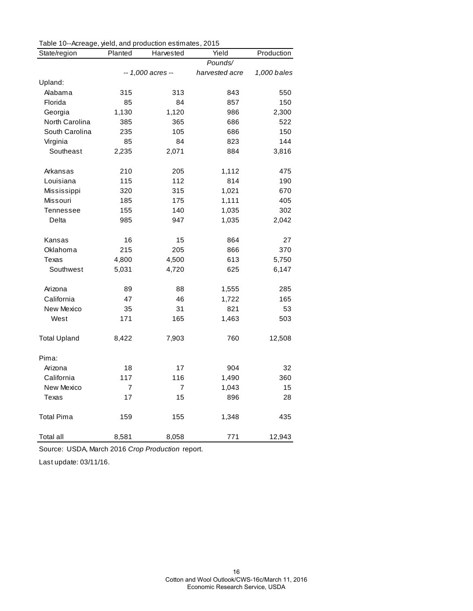| Table To-Acreage, yield, and production estimates, 2010 |                   |                |                |             |
|---------------------------------------------------------|-------------------|----------------|----------------|-------------|
| State/region                                            | Planted           | Harvested      | Yield          | Production  |
|                                                         |                   |                | Pounds/        |             |
|                                                         | -- 1,000 acres -- |                | harvested acre | 1,000 bales |
| Upland:                                                 |                   |                |                |             |
| Alabama                                                 | 315               | 313            | 843            | 550         |
| Florida                                                 | 85                | 84             | 857            | 150         |
| Georgia                                                 | 1,130             | 1,120          | 986            | 2,300       |
| North Carolina                                          | 385               | 365            | 686            | 522         |
| South Carolina                                          | 235               | 105            | 686            | 150         |
| Virginia                                                | 85                | 84             | 823            | 144         |
| Southeast                                               | 2,235             | 2,071          | 884            | 3,816       |
| Arkansas                                                | 210               | 205            | 1,112          | 475         |
| Louisiana                                               | 115               | 112            | 814            | 190         |
| Mississippi                                             | 320               | 315            | 1,021          | 670         |
| Missouri                                                | 185               | 175            | 1,111          | 405         |
| Tennessee                                               | 155               | 140            | 1,035          | 302         |
| Delta                                                   | 985               | 947            | 1,035          | 2,042       |
| Kansas                                                  | 16                | 15             | 864            | 27          |
| Oklahoma                                                | 215               | 205            | 866            | 370         |
| <b>Texas</b>                                            | 4,800             | 4,500          | 613            | 5,750       |
| Southwest                                               | 5,031             | 4,720          | 625            | 6,147       |
| Arizona                                                 | 89                | 88             | 1,555          | 285         |
| California                                              | 47                | 46             | 1,722          | 165         |
| New Mexico                                              | 35                | 31             | 821            | 53          |
| West                                                    | 171               | 165            | 1,463          | 503         |
| <b>Total Upland</b>                                     | 8,422             | 7,903          | 760            | 12,508      |
| Pima:                                                   |                   |                |                |             |
| Arizona                                                 | 18                | 17             | 904            | 32          |
| California                                              | 117               | 116            | 1,490          | 360         |
| New Mexico                                              | $\overline{7}$    | $\overline{7}$ | 1,043          | 15          |
| Texas                                                   | 17                | 15             | 896            | 28          |
| <b>Total Pima</b>                                       | 159               | 155            | 1,348          | 435         |
| Total all                                               | 8,581             | 8,058          | 771            | 12,943      |

| Table 10--Acreage, yield, and production estimates, 2015 |  |  |
|----------------------------------------------------------|--|--|
|                                                          |  |  |

Source: USDA, March 2016 *Crop Production* report.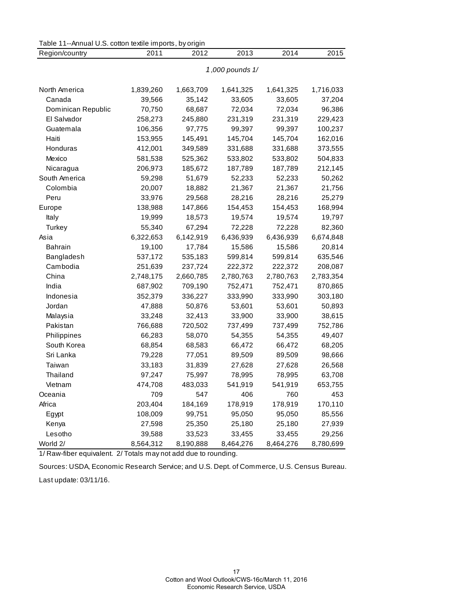| Table 11--Annual U.S. cotton textile imports, by origin |                 |           |           |           |           |
|---------------------------------------------------------|-----------------|-----------|-----------|-----------|-----------|
| Region/country                                          | 2011            | 2012      | 2013      | 2014      | 2015      |
|                                                         | 1,000 pounds 1/ |           |           |           |           |
|                                                         |                 |           |           |           |           |
| North America                                           | 1,839,260       | 1,663,709 | 1,641,325 | 1,641,325 | 1,716,033 |
| Canada                                                  | 39,566          | 35,142    | 33,605    | 33,605    | 37,204    |
| Dominican Republic                                      | 70,750          | 68,687    | 72,034    | 72,034    | 96,386    |
| El Salvador                                             | 258,273         | 245,880   | 231,319   | 231,319   | 229,423   |
| Guatemala                                               | 106,356         | 97,775    | 99,397    | 99,397    | 100,237   |
| Haiti                                                   | 153,955         | 145,491   | 145,704   | 145,704   | 162,016   |
| Honduras                                                | 412,001         | 349,589   | 331,688   | 331,688   | 373,555   |
| Mexico                                                  | 581,538         | 525,362   | 533,802   | 533,802   | 504,833   |
| Nicaragua                                               | 206,973         | 185,672   | 187,789   | 187,789   | 212,145   |
| South America                                           | 59,298          | 51,679    | 52,233    | 52,233    | 50,262    |
| Colombia                                                | 20,007          | 18,882    | 21,367    | 21,367    | 21,756    |
| Peru                                                    | 33,976          | 29,568    | 28,216    | 28,216    | 25,279    |
| Europe                                                  | 138,988         | 147,866   | 154,453   | 154,453   | 168,994   |
| Italy                                                   | 19,999          | 18,573    | 19,574    | 19,574    | 19,797    |
| Turkey                                                  | 55,340          | 67,294    | 72,228    | 72,228    | 82,360    |
| Asia                                                    | 6,322,653       | 6,142,919 | 6,436,939 | 6,436,939 | 6,674,848 |
| <b>Bahrain</b>                                          | 19,100          | 17,784    | 15,586    | 15,586    | 20,814    |
| Bangladesh                                              | 537,172         | 535,183   | 599,814   | 599,814   | 635,546   |
| Cambodia                                                | 251,639         | 237,724   | 222,372   | 222,372   | 208,087   |
| China                                                   | 2,748,175       | 2,660,785 | 2,780,763 | 2,780,763 | 2,783,354 |
| India                                                   | 687,902         | 709,190   | 752,471   | 752,471   | 870,865   |
| Indonesia                                               | 352,379         | 336,227   | 333,990   | 333,990   | 303,180   |
| Jordan                                                  | 47,888          | 50,876    | 53,601    | 53,601    | 50,893    |
| Malaysia                                                | 33,248          | 32,413    | 33,900    | 33,900    | 38,615    |
| Pakistan                                                | 766,688         | 720,502   | 737,499   | 737,499   | 752,786   |
| Philippines                                             | 66,283          | 58,070    | 54,355    | 54,355    | 49,407    |
| South Korea                                             | 68,854          | 68,583    | 66,472    | 66,472    | 68,205    |
| Sri Lanka                                               | 79,228          | 77,051    | 89,509    | 89,509    | 98,666    |
| Taiwan                                                  | 33,183          | 31,839    | 27,628    | 27,628    | 26,568    |
| Thailand                                                | 97,247          | 75,997    | 78,995    | 78,995    | 63,708    |
| Vietnam                                                 | 474,708         | 483,033   | 541,919   | 541,919   | 653,755   |
| Oceania                                                 | 709             | 547       | 406       | 760       | 453       |
| Africa                                                  | 203,404         | 184,169   | 178,919   | 178,919   | 170,110   |
| Egypt                                                   | 108,009         | 99,751    | 95,050    | 95,050    | 85,556    |
| Kenya                                                   | 27,598          | 25,350    | 25,180    | 25,180    | 27,939    |
| Lesotho                                                 | 39,588          | 33,523    | 33,455    | 33,455    | 29,256    |
| World 2/                                                | 8,564,312       | 8,190,888 | 8,464,276 | 8,464,276 | 8,780,699 |

Sources: USDA, Economic Research Service; and U.S. Dept. of Commerce, U.S. Census Bureau. Last update: 03/11/16.